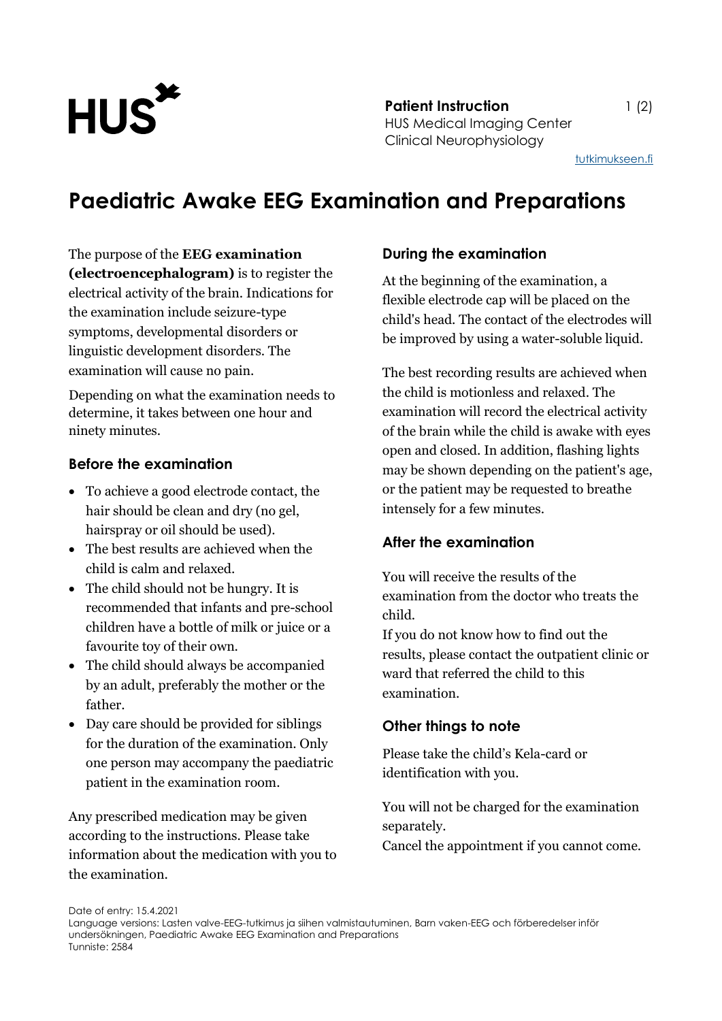

**Patient Instruction** 1 (2) HUS Medical Imaging Center Clinical Neurophysiology

[tutkimukseen.fi](http://www.tutkimukseen.fi/)

# **Paediatric Awake EEG Examination and Preparations**

#### The purpose of the **EEG examination**

**(electroencephalogram)** is to register the electrical activity of the brain. Indications for the examination include seizure-type symptoms, developmental disorders or linguistic development disorders. The examination will cause no pain.

Depending on what the examination needs to determine, it takes between one hour and ninety minutes.

#### **Before the examination**

- To achieve a good electrode contact, the hair should be clean and dry (no gel, hairspray or oil should be used).
- The best results are achieved when the child is calm and relaxed.
- The child should not be hungry. It is recommended that infants and pre-school children have a bottle of milk or juice or a favourite toy of their own.
- The child should always be accompanied by an adult, preferably the mother or the father.
- Day care should be provided for siblings for the duration of the examination. Only one person may accompany the paediatric patient in the examination room.

Any prescribed medication may be given according to the instructions. Please take information about the medication with you to the examination.

#### **During the examination**

At the beginning of the examination, a flexible electrode cap will be placed on the child's head. The contact of the electrodes will be improved by using a water-soluble liquid.

The best recording results are achieved when the child is motionless and relaxed. The examination will record the electrical activity of the brain while the child is awake with eyes open and closed. In addition, flashing lights may be shown depending on the patient's age, or the patient may be requested to breathe intensely for a few minutes.

#### **After the examination**

You will receive the results of the examination from the doctor who treats the child.

If you do not know how to find out the results, please contact the outpatient clinic or ward that referred the child to this examination.

### **Other things to note**

Please take the child's Kela-card or identification with you.

You will not be charged for the examination separately.

Cancel the appointment if you cannot come.

Date of entry: 15.4.2021

Language versions: Lasten valve-EEG-tutkimus ja siihen valmistautuminen, Barn vaken-EEG och förberedelser inför undersökningen, Paediatric Awake EEG Examination and Preparations Tunniste: 2584